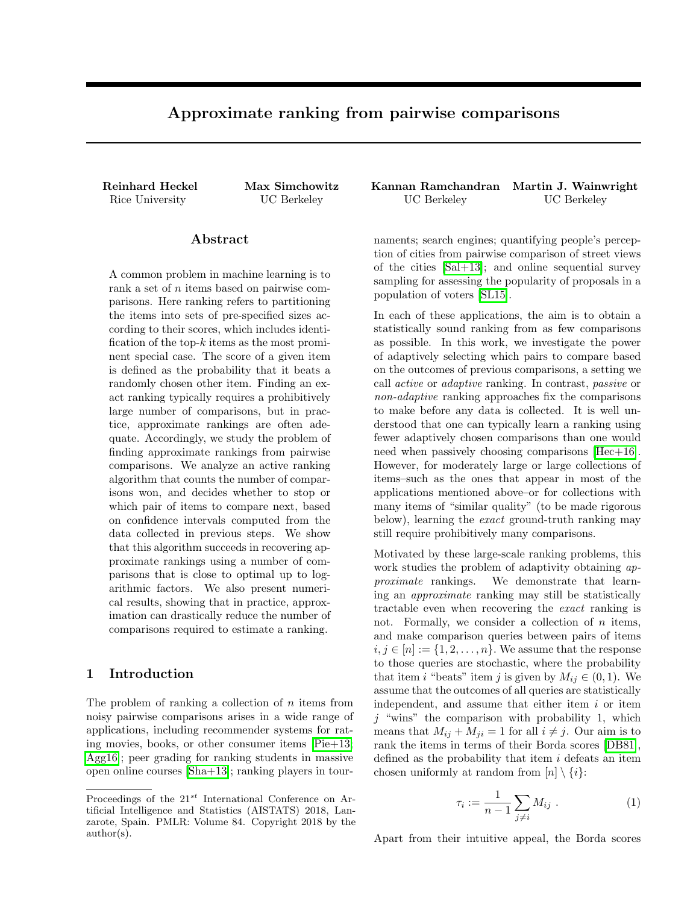# Approximate ranking from pairwise comparisons

## Abstract

A common problem in machine learning is to rank a set of *n* items based on pairwise comparisons. Here ranking refers to partitioning the items into sets of pre-specified sizes according to their scores, which includes identification of the top-*k* items as the most prominent special case. The score of a given item is defined as the probability that it beats a randomly chosen other item. Finding an exact ranking typically requires a prohibitively large number of comparisons, but in practice, approximate rankings are often adequate. Accordingly, we study the problem of finding approximate rankings from pairwise comparisons. We analyze an active ranking algorithm that counts the number of comparisons won, and decides whether to stop or which pair of items to compare next, based on confidence intervals computed from the data collected in previous steps. We show that this algorithm succeeds in recovering approximate rankings using a number of comparisons that is close to optimal up to logarithmic factors. We also present numerical results, showing that in practice, approximation can drastically reduce the number of comparisons required to estimate a ranking.

## 1 Introduction

The problem of ranking a collection of *n* items from noisy pairwise comparisons arises in a wide range of applications, including recommender systems for rating movies, books, or other consumer items  $\text{Pie+13}$ ; [Agg16\]](#page-7-0); peer grading for ranking students in massive open online courses  $\text{[Sha+13]}$  $\text{[Sha+13]}$  $\text{[Sha+13]}$ ; ranking players in tour-

Reinhard Heckel Max Simchowitz Kannan Ramchandran Martin J. Wainwright Rice University UC Berkeley UC Berkeley UC Berkeley

> naments; search engines; quantifying people's perception of cities from pairwise comparison of street views of the cities  $\operatorname{Sal}+13$ ; and online sequential survey sampling for assessing the popularity of proposals in a population of voters [\[SL15\]](#page-8-3).

> In each of these applications, the aim is to obtain a statistically sound ranking from as few comparisons as possible. In this work, we investigate the power of adaptively selecting which pairs to compare based on the outcomes of previous comparisons, a setting we call *active* or *adaptive* ranking. In contrast, *passive* or *non-adaptive* ranking approaches fix the comparisons to make before any data is collected. It is well understood that one can typically learn a ranking using fewer adaptively chosen comparisons than one would need when passively choosing comparisons  $[Hec+16]$ . However, for moderately large or large collections of items–such as the ones that appear in most of the applications mentioned above–or for collections with many items of "similar quality" (to be made rigorous below), learning the *exact* ground-truth ranking may still require prohibitively many comparisons.

> Motivated by these large-scale ranking problems, this work studies the problem of adaptivity obtaining *approximate* rankings. We demonstrate that learning an *approximate* ranking may still be statistically tractable even when recovering the *exact* ranking is not. Formally, we consider a collection of *n* items, and make comparison queries between pairs of items  $i, j \in [n] := \{1, 2, \ldots, n\}$ . We assume that the response to those queries are stochastic, where the probability that item *i* "beats" item *j* is given by  $M_{ij} \in (0,1)$ . We assume that the outcomes of all queries are statistically independent, and assume that either item *i* or item *j* "wins" the comparison with probability 1, which means that  $M_{ij} + M_{ji} = 1$  for all  $i \neq j$ . Our aim is to rank the items in terms of their Borda scores [\[DB81\]](#page-8-5), defined as the probability that item *i* defeats an item chosen uniformly at random from  $[n] \setminus \{i\}$ :

<span id="page-0-0"></span>
$$
\tau_i := \frac{1}{n-1} \sum_{j \neq i} M_{ij} \ . \tag{1}
$$

Apart from their intuitive appeal, the Borda scores

Proceedings of the 21*st* International Conference on Artificial Intelligence and Statistics (AISTATS) 2018, Lanzarote, Spain. PMLR: Volume 84. Copyright 2018 by the author(s).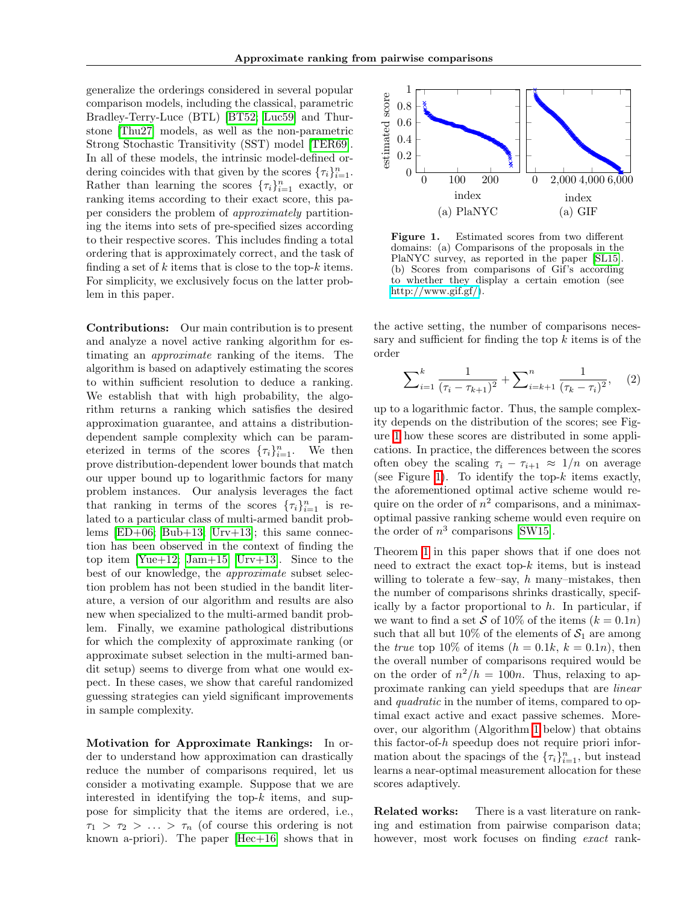generalize the orderings considered in several popular comparison models, including the classical, parametric Bradley-Terry-Luce (BTL) **BT52**; Luc59 and Thurstone [\[Thu27\]](#page-9-0) models, as well as the non-parametric Strong Stochastic Transitivity (SST) model [\[TER69\]](#page-9-1). In all of these models, the intrinsic model-defined ordering coincides with that given by the scores  $\{\tau_i\}_{i=1}^n$ . Rather than learning the scores  ${\lbrace \tau_i \rbrace}_{i=1}^n$  exactly, or ranking items according to their exact score, this paper considers the problem of *approximately* partitioning the items into sets of pre-specified sizes according to their respective scores. This includes finding a total ordering that is approximately correct, and the task of finding a set of *k* items that is close to the top-*k* items. For simplicity, we exclusively focus on the latter problem in this paper.

Contributions: Our main contribution is to present and analyze a novel active ranking algorithm for estimating an *approximate* ranking of the items. The algorithm is based on adaptively estimating the scores to within sufficient resolution to deduce a ranking. We establish that with high probability, the algorithm returns a ranking which satisfies the desired approximation guarantee, and attains a distributiondependent sample complexity which can be parameterized in terms of the scores  $\{\tau_i\}_{i=1}^n$ . We then prove distribution-dependent lower bounds that match our upper bound up to logarithmic factors for many problem instances. Our analysis leverages the fact that ranking in terms of the scores  ${\lbrace \tau_i \rbrace}_{i=1}^n$  is related to a particular class of multi-armed bandit problems  $\boxed{\text{ED}+06}$ ;  $\boxed{\text{Bub}+13}$ ; [Urv+13\]](#page-9-2); this same connection has been observed in the context of finding the top item  $\boxed{\text{Yue+12}}$  [Jam+15;](#page-8-8) Urv+13. Since to the best of our knowledge, the *approximate* subset selection problem has not been studied in the bandit literature, a version of our algorithm and results are also new when specialized to the multi-armed bandit problem. Finally, we examine pathological distributions for which the complexity of approximate ranking (or approximate subset selection in the multi-armed bandit setup) seems to diverge from what one would expect. In these cases, we show that careful randomized guessing strategies can yield significant improvements in sample complexity.

Motivation for Approximate Rankings: In order to understand how approximation can drastically reduce the number of comparisons required, let us consider a motivating example. Suppose that we are interested in identifying the top-*k* items, and suppose for simplicity that the items are ordered, i.e.,  $\tau_1 > \tau_2 > \ldots > \tau_n$  (of course this ordering is not known a-priori). The paper  $[\text{Hec+16}]$  shows that in



<span id="page-1-0"></span>Figure 1. Estimated scores from two different domains: (a) Comparisons of the proposals in the PlaNYC survey, as reported in the paper SL15. (b) Scores from comparisons of Gif's according to whether they display a certain emotion (see [http://www.gif.gf/\)](http://www.gif.gf/).

the active setting, the number of comparisons necessary and sufficient for finding the top  $k$  items is of the order

<span id="page-1-1"></span>
$$
\sum_{i=1}^{k} \frac{1}{(\tau_i - \tau_{k+1})^2} + \sum_{i=k+1}^{n} \frac{1}{(\tau_k - \tau_i)^2}, \quad (2)
$$

up to a logarithmic factor. Thus, the sample complexity depends on the distribution of the scores; see Figure  $\overline{1}$  how these scores are distributed in some applications. In practice, the differences between the scores often obey the scaling  $\tau_i - \tau_{i+1} \approx 1/n$  on average (see Figure  $\boxed{1}$ ). To identify the top- $k$  items exactly, the aforementioned optimal active scheme would require on the order of  $n^2$  comparisons, and a minimaxoptimal passive ranking scheme would even require on the order of  $n^3$  comparisons  $\boxed{\text{SW15}}$ .

Theorem  $\boxed{1}$  in this paper shows that if one does not need to extract the exact top-*k* items, but is instead willing to tolerate a few–say, *h* many–mistakes, then the number of comparisons shrinks drastically, specifically by a factor proportional to *h*. In particular, if we want to find a set *S* of 10% of the items  $(k = 0.1n)$ such that all but 10% of the elements of  $S_1$  are among the *true* top 10% of items  $(h = 0.1k, k = 0.1n)$ , then the overall number of comparisons required would be on the order of  $n^2/h = 100n$ . Thus, relaxing to approximate ranking can yield speedups that are *linear* and *quadratic* in the number of items, compared to optimal exact active and exact passive schemes. Moreover, our algorithm (Algorithm  $\overline{1}$  below) that obtains this factor-of-*h* speedup does not require priori information about the spacings of the  ${\lbrace \tau_i \rbrace}_{i=1}^n$ , but instead learns a near-optimal measurement allocation for these scores adaptively.

Related works: There is a vast literature on ranking and estimation from pairwise comparison data; however, most work focuses on finding *exact* rank-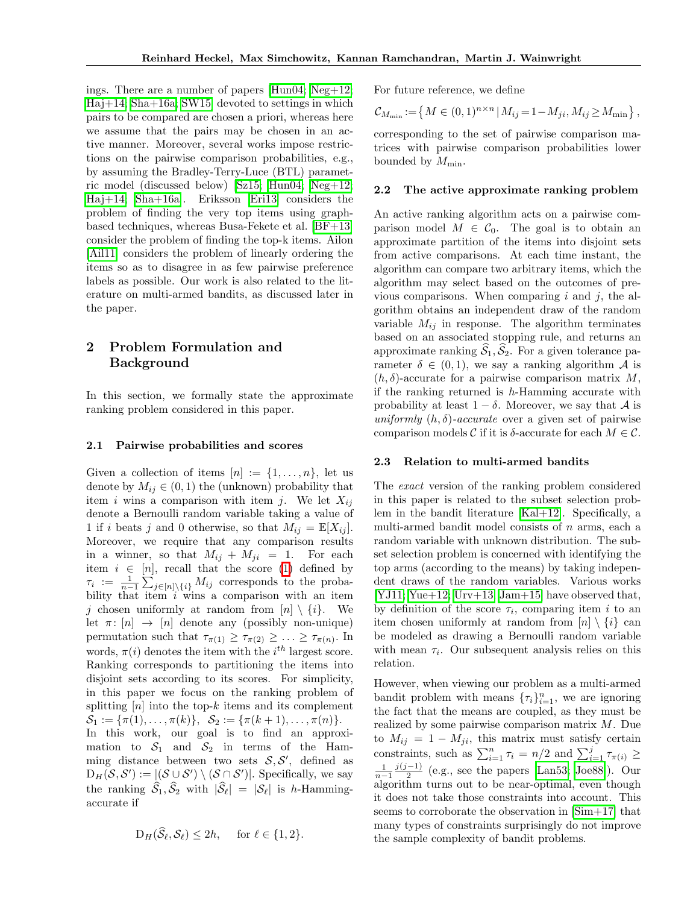ings. There are a number of papers  $\text{Hun04}$ ; [Neg+12;](#page-8-11)  $Haj+14$ ;  $Sha+16a$ ;  $SW15$  devoted to settings in which pairs to be compared are chosen a priori, whereas here we assume that the pairs may be chosen in an active manner. Moreover, several works impose restrictions on the pairwise comparison probabilities, e.g., by assuming the Bradley-Terry-Luce (BTL) parametric model (discussed below)  $\sqrt{\text{Sz15}}$ ;  $\sqrt{\text{Hun04}}$ ;  $\sqrt{\text{Neg}+12}$ ;  $\text{Haj+14}$ ; Sha+16a. Eriksson Eri13 considers the problem of finding the very top items using graphbased techniques, whereas Busa-Fekete et al.  $\overline{BF+13}$ consider the problem of finding the top-k items. Ailon [\[Ail11\]](#page-7-4) considers the problem of linearly ordering the items so as to disagree in as few pairwise preference labels as possible. Our work is also related to the literature on multi-armed bandits, as discussed later in the paper.

## 2 Problem Formulation and Background

In this section, we formally state the approximate ranking problem considered in this paper.

#### 2.1 Pairwise probabilities and scores

Given a collection of items  $[n] := \{1, \ldots, n\}$ , let us denote by  $M_{ij} \in (0,1)$  the (unknown) probability that item *i* wins a comparison with item *j*. We let  $X_{ij}$ denote a Bernoulli random variable taking a value of 1 if *i* beats *j* and 0 otherwise, so that  $M_{ij} = \mathbb{E}[X_{ij}]$ . Moreover, we require that any comparison results in a winner, so that  $M_{ij} + M_{ji} = 1$ . For each item  $i \in [n]$ , recall that the score  $\Box$  defined by  $\tau_i := \frac{1}{n-1} \sum_{j \in [n] \setminus \{i\}} M_{ij}$  corresponds to the probability that item *i* wins a comparison with an item *j* chosen uniformly at random from  $[n] \setminus \{i\}$ . We let  $\pi$ :  $[n] \rightarrow [n]$  denote any (possibly non-unique) permutation such that  $\tau_{\pi(1)} \geq \tau_{\pi(2)} \geq \ldots \geq \tau_{\pi(n)}$ . In words,  $\pi(i)$  denotes the item with the  $i^{th}$  largest score. Ranking corresponds to partitioning the items into disjoint sets according to its scores. For simplicity, in this paper we focus on the ranking problem of splitting [*n*] into the top-*k* items and its complement  $S_1 := {\pi(1), \ldots, \pi(k)}, S_2 := {\pi(k+1), \ldots, \pi(n)}.$ In this work, our goal is to find an approximation to  $S_1$  and  $S_2$  in terms of the Hamming distance between two sets  $S, S'$ , defined as  $D_H(S, S') := [S \cup S') \setminus (S \cap S')].$  Specifically, we say the ranking  $\widehat{S}_1, \widehat{S}_2$  with  $|\widehat{S}_\ell| = |S_\ell|$  is *h*-Hammingaccurate if

$$
D_H(\widehat{\mathcal{S}}_{\ell},\mathcal{S}_{\ell}) \le 2h, \quad \text{ for } \ell \in \{1,2\}.
$$

For future reference, we define

$$
\mathcal{C}_{M_{\min}} := \left\{ M \in (0,1)^{n \times n} \, | \, M_{ij} = 1 - M_{ji}, M_{ij} \ge M_{\min} \right\},\,
$$

corresponding to the set of pairwise comparison matrices with pairwise comparison probabilities lower bounded by  $M_{\text{min}}$ .

#### 2.2 The active approximate ranking problem

An active ranking algorithm acts on a pairwise comparison model  $M \in \mathcal{C}_0$ . The goal is to obtain an approximate partition of the items into disjoint sets from active comparisons. At each time instant, the algorithm can compare two arbitrary items, which the algorithm may select based on the outcomes of previous comparisons. When comparing *i* and *j*, the algorithm obtains an independent draw of the random variable  $M_{ij}$  in response. The algorithm terminates based on an associated stopping rule, and returns an approximate ranking  $\widehat{S}_1, \widehat{S}_2$ . For a given tolerance parameter  $\delta \in (0,1)$ , we say a ranking algorithm *A* is  $(h, \delta)$ -accurate for a pairwise comparison matrix M, if the ranking returned is *h*-Hamming accurate with probability at least  $1 - \delta$ . Moreover, we say that *A* is *uniformly*  $(h, \delta)$ *-accurate* over a given set of pairwise comparison models C if it is  $\delta$ -accurate for each  $M \in \mathcal{C}$ .

#### 2.3 Relation to multi-armed bandits

The *exact* version of the ranking problem considered in this paper is related to the subset selection problem in the bandit literature  $[Kal+12]$ . Specifically, a multi-armed bandit model consists of *n* arms, each a random variable with unknown distribution. The subset selection problem is concerned with identifying the top arms (according to the means) by taking independent draws of the random variables. Various works  $[YJ11; Yue+12; Urv+13; Jam+15]$  $[YJ11; Yue+12; Urv+13; Jam+15]$  $[YJ11; Yue+12; Urv+13; Jam+15]$  $[YJ11; Yue+12; Urv+13; Jam+15]$  have observed that, by definition of the score  $\tau_i$ , comparing item *i* to an item chosen uniformly at random from  $[n] \setminus \{i\}$  can be modeled as drawing a Bernoulli random variable with mean  $\tau_i$ . Our subsequent analysis relies on this relation.

However, when viewing our problem as a multi-armed bandit problem with means  ${\lbrace \tau_i \rbrace}_{i=1}^n$ , we are ignoring the fact that the means are coupled, as they must be realized by some pairwise comparison matrix *M*. Due to  $M_{ij} = 1 - M_{ji}$ , this matrix must satisfy certain constraints, such as  $\sum_{i=1}^{n} \tau_i = n/2$  and  $\sum_{i=1}^{j} \tau_{\pi(i)} \ge \frac{1}{n-1} \frac{j(j-1)}{2}$  (e.g., see the papers **Lan53**) Joe88). Our  $\frac{j(j-1)}{2}$  (e.g., see the papers **Lan53**; Joe88). Our algorithm turns out to be near-optimal, even though it does not take those constraints into account. This seems to corroborate the observation in  $\lceil \text{Sim}+17 \rceil$  that many types of constraints surprisingly do not improve the sample complexity of bandit problems.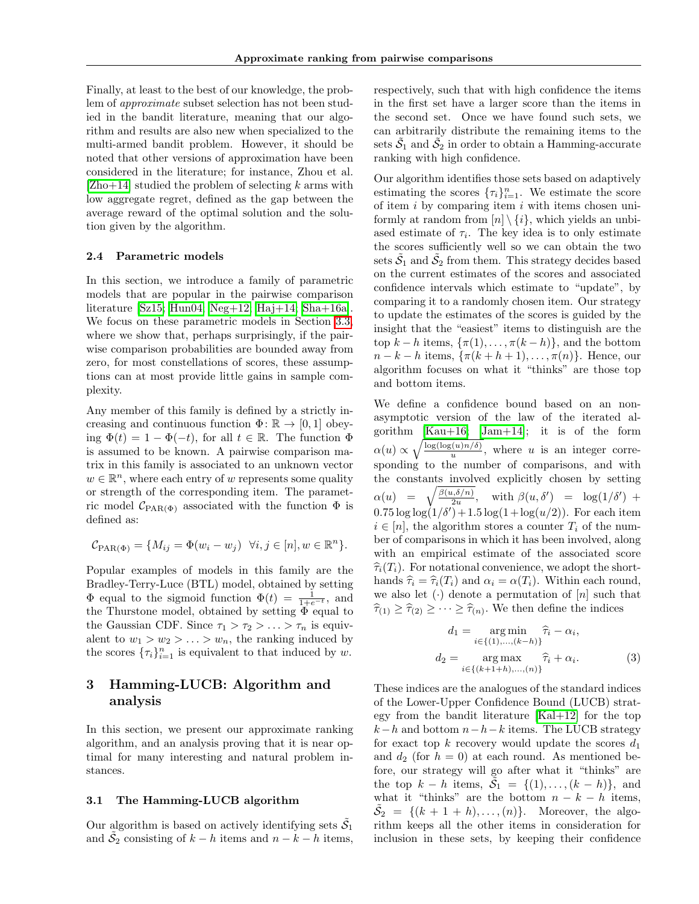Finally, at least to the best of our knowledge, the problem of *approximate* subset selection has not been studied in the bandit literature, meaning that our algorithm and results are also new when specialized to the multi-armed bandit problem. However, it should be noted that other versions of approximation have been considered in the literature; for instance, Zhou et al. [\[Zho+14\]](#page-9-6) studied the problem of selecting *k* arms with low aggregate regret, defined as the gap between the average reward of the optimal solution and the solution given by the algorithm.

#### <span id="page-3-1"></span>2.4 Parametric models

In this section, we introduce a family of parametric models that are popular in the pairwise comparison literature  $\boxed{\text{Sz15}}$  [Hun04;](#page-8-10)  $\boxed{\text{Neg}+12}$ ; Haj $+14$ ;  $\boxed{\text{Sha}+16a}$ . We focus on these parametric models in Section [3.3,](#page-5-0) where we show that, perhaps surprisingly, if the pairwise comparison probabilities are bounded away from zero, for most constellations of scores, these assumptions can at most provide little gains in sample complexity.

Any member of this family is defined by a strictly increasing and continuous function  $\Phi$ :  $\mathbb{R} \to [0, 1]$  obeying  $\Phi(t)=1 - \Phi(-t)$ , for all  $t \in \mathbb{R}$ . The function  $\Phi$ is assumed to be known. A pairwise comparison matrix in this family is associated to an unknown vector  $w \in \mathbb{R}^n$ , where each entry of *w* represents some quality or strength of the corresponding item. The parametric model  $C_{\text{PAR}(\Phi)}$  associated with the function  $\Phi$  is defined as:

$$
\mathcal{C}_{\text{PAR}(\Phi)} = \{ M_{ij} = \Phi(w_i - w_j) \ \forall i, j \in [n], w \in \mathbb{R}^n \}.
$$

Popular examples of models in this family are the Bradley-Terry-Luce (BTL) model, obtained by setting  $\Phi$  equal to the sigmoid function  $\Phi(t) = \frac{1}{1+e^{-t}}$ , and the Thurstone model, obtained by setting  $\Phi$  equal to the Gaussian CDF. Since  $\tau_1 > \tau_2 > \ldots > \tau_n$  is equivalent to  $w_1 > w_2 > \ldots > w_n$ , the ranking induced by the scores  ${\lbrace \tau_i \rbrace}_{i=1}^n$  is equivalent to that induced by *w*.

## 3 Hamming-LUCB: Algorithm and analysis

In this section, we present our approximate ranking algorithm, and an analysis proving that it is near optimal for many interesting and natural problem instances.

#### 3.1 The Hamming-LUCB algorithm

Our algorithm is based on actively identifying sets  $\tilde{S}_1$ and  $\tilde{S}_2$  consisting of  $k - h$  items and  $n - k - h$  items, respectively, such that with high confidence the items in the first set have a larger score than the items in the second set. Once we have found such sets, we can arbitrarily distribute the remaining items to the sets  $\tilde{S}_1$  and  $\tilde{S}_2$  in order to obtain a Hamming-accurate ranking with high confidence.

Our algorithm identifies those sets based on adaptively estimating the scores  $\{\tau_i\}_{i=1}^n$ . We estimate the score of item *i* by comparing item *i* with items chosen uniformly at random from  $[n] \setminus \{i\}$ , which yields an unbiased estimate of  $\tau_i$ . The key idea is to only estimate the scores sufficiently well so we can obtain the two sets  $\tilde{S}_1$  and  $\tilde{S}_2$  from them. This strategy decides based on the current estimates of the scores and associated confidence intervals which estimate to "update", by comparing it to a randomly chosen item. Our strategy to update the estimates of the scores is guided by the insight that the "easiest" items to distinguish are the top  $k - h$  items,  $\{\pi(1), \ldots, \pi(k - h)\}\)$ , and the bottom  $n-k-h$  items,  $\{\pi(k+h+1),\ldots,\pi(n)\}\$ . Hence, our algorithm focuses on what it "thinks" are those top and bottom items.

We define a confidence bound based on an nonasymptotic version of the law of the iterated algorithm  $\begin{bmatrix} \text{Kau}+16 \\ \text{Jam}+14 \end{bmatrix}$ ; it is of the form  $\alpha(u) \propto \sqrt{\frac{\log(\log(u)/\delta)}{u}},$  where *u* is an integer corresponding to the number of comparisons, and with the constants involved explicitly chosen by setting  $\alpha(u) = \sqrt{\frac{\beta(u,\delta/n)}{2u}}, \quad \text{with } \beta(u,\delta') = \log(1/\delta') + \delta'$  $0.75 \log \log(1/\delta') + 1.5 \log(1 + \log(u/2))$ . For each item  $i \in [n]$ , the algorithm stores a counter  $T_i$  of the number of comparisons in which it has been involved, along with an empirical estimate of the associated score  $\hat{\tau}_i(T_i)$ . For notational convenience, we adopt the shorthands  $\widehat{\tau}_i = \widehat{\tau}_i(T_i)$  and  $\alpha_i = \alpha(T_i)$ . Within each round, we also let  $(\cdot)$  denote a permutation of  $[n]$  such that  $\hat{\tau}_{(1)} \geq \hat{\tau}_{(2)} \geq \cdots \geq \hat{\tau}_{(n)}$ . We then define the indices

<span id="page-3-0"></span>
$$
d_1 = \underset{i \in \{(1), ..., (k-h)\}}{\arg \min} \hat{\tau}_i - \alpha_i,
$$
  

$$
d_2 = \underset{i \in \{(k+1+h), ..., (n)\}}{\arg \max} \hat{\tau}_i + \alpha_i.
$$
 (3)

These indices are the analogues of the standard indices of the Lower-Upper Confidence Bound (LUCB) strategy from the bandit literature  $\overline{Kal+12}$  for the top  $k-h$  and bottom  $n-h-k$  items. The LUCB strategy for exact top  $k$  recovery would update the scores  $d_1$ and  $d_2$  (for  $h = 0$ ) at each round. As mentioned before, our strategy will go after what it "thinks" are the top  $k - h$  items,  $\tilde{S}_1 = \{(1), ..., (k - h)\}$ , and what it "thinks" are the bottom  $n - k - h$  items,  $\tilde{S}_2 = \{(k+1+h), \ldots, (n)\}.$  Moreover, the algorithm keeps all the other items in consideration for inclusion in these sets, by keeping their confidence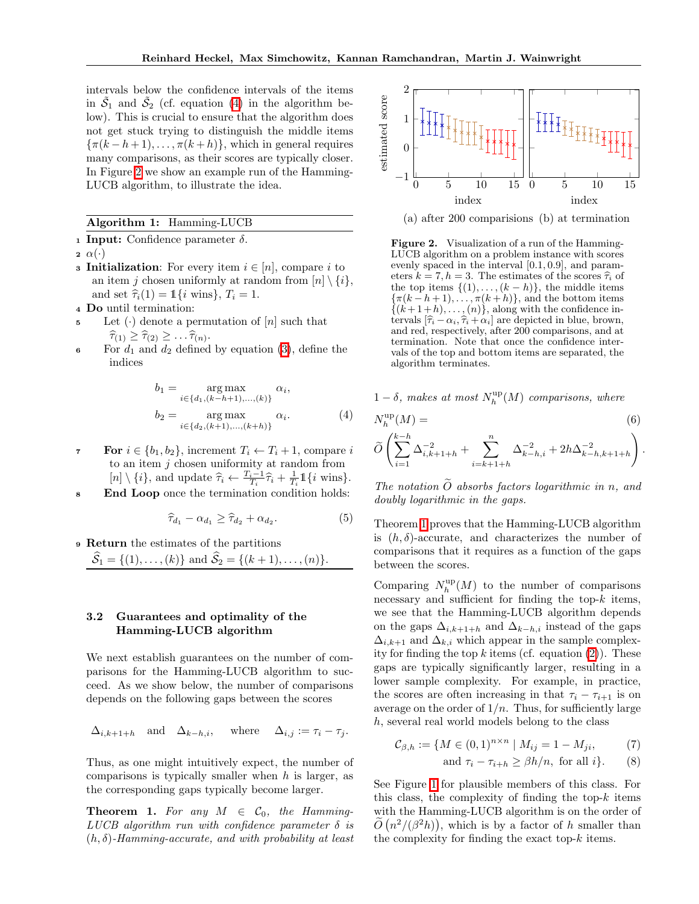intervals below the confidence intervals of the items in  $\tilde{S}_1$  and  $\tilde{S}_2$  (cf. equation  $\boxed{4}$ ) in the algorithm below). This is crucial to ensure that the algorithm does not get stuck trying to distinguish the middle items  $\{\pi(k-h+1),\ldots,\pi(k+h)\}\$ , which in general requires many comparisons, as their scores are typically closer. In Figure  $\overline{2}$  we show an example run of the Hamming-LUCB algorithm, to illustrate the idea.

#### Algorithm 1: Hamming-LUCB

1 Input: Confidence parameter  $\delta$ .

 $2 \alpha(\cdot)$ 

- **3 Initialization:** For every item  $i \in [n]$ , compare *i* to an item *j* chosen uniformly at random from  $[n] \setminus \{i\},\$ and set  $\hat{\tau}_i(1) = \mathbb{1}\{i \text{ wins}\}, T_i = 1$ .
- <sup>4</sup> Do until termination:
- Let  $(\cdot)$  denote a permutation of  $[n]$  such that  $\widehat{\tau}_{(1)} \geq \widehat{\tau}_{(2)} \geq \ldots \widehat{\tau}_{(n)}.$
- 6 For  $d_1$  and  $d_2$  defined by equation  $(3)$ , define the indices

$$
b_1 = \underset{i \in \{d_1, (k-h+1), ..., (k)\}}{\arg \max} \alpha_i,
$$
  
\n
$$
b_2 = \underset{i \in \{d_2, (k+1), ..., (k+h)\}}{\arg \max} \alpha_i.
$$
 (4)

- **7** For  $i \in \{b_1, b_2\}$ , increment  $T_i \leftarrow T_i + 1$ , compare *i* to an item *j* chosen uniformity at random from  $[n] \setminus \{i\}$ , and update  $\hat{\tau}_i \leftarrow \frac{T_i - 1}{T_i} \hat{\tau}_i + \frac{1}{T_i} \mathbb{1} \{i \text{ wins}\}.$
- <sup>8</sup> End Loop once the termination condition holds:

$$
\widehat{\tau}_{d_1} - \alpha_{d_1} \ge \widehat{\tau}_{d_2} + \alpha_{d_2}.\tag{5}
$$

<span id="page-4-1"></span><sup>9</sup> Return the estimates of the partitions  $\hat{S}_1 = \{(1), \ldots, (k)\}$  and  $\hat{S}_2 = \{(k+1), \ldots, (n)\}.$ 

## 3.2 Guarantees and optimality of the Hamming-LUCB algorithm

We next establish guarantees on the number of comparisons for the Hamming-LUCB algorithm to succeed. As we show below, the number of comparisons depends on the following gaps between the scores

$$
\Delta_{i,k+1+h} \quad \text{and} \quad \Delta_{k-h,i}, \quad \text{where} \quad \Delta_{i,j} := \tau_i - \tau_j.
$$

Thus, as one might intuitively expect, the number of comparisons is typically smaller when *h* is larger, as the corresponding gaps typically become larger.

<span id="page-4-0"></span>**Theorem 1.** For any  $M \in \mathcal{C}_0$ , the Hamming-*LUCB* algorithm run with confidence parameter  $\delta$  is  $(h, \delta)$ -Hamming-accurate, and with probability at least



<span id="page-4-3"></span>(a) after 200 comparisions (b) at termination

Figure 2. Visualization of a run of the Hamming-LUCB algorithm on a problem instance with scores evenly spaced in the interval [0*.*1*,* 0*.*9], and parameters  $k = 7, h = 3$ . The estimates of the scores  $\hat{\tau}_i$  of the top items  $\{(1), \ldots, (k-h)\}$ , the middle items  ${\lbrace \pi(k - h + 1), \ldots, \pi(k + h) \rbrace}$ , and the bottom items  $\{(k+1+h), \ldots, (n)\}\)$ , along with the confidence intervals  $[\hat{\tau}_i - \alpha_i, \hat{\tau}_i + \alpha_i]$  are depicted in blue, brown, and red, respectively, after 200 comparisons, and at termination. Note that once the confidence intervals of the top and bottom items are separated, the algorithm terminates.

<span id="page-4-5"></span> $1 - \delta$ , makes at most  $N_h^{\text{up}}(M)$  comparisons, where

<span id="page-4-2"></span>
$$
N_h^{\text{up}}(M) =
$$
\n
$$
\widetilde{O}\left(\sum_{i=1}^{k-h} \Delta_{i,k+1+h}^{-2} + \sum_{i=k+1+h}^n \Delta_{k-h,i}^{-2} + 2h\Delta_{k-h,k+1+h}^{-2}\right).
$$
\n(6)

*The notation*  $\tilde{O}$  *absorbs factors logarithmic in n, and doubly logarithmic in the gaps.*

Theorem [1](#page-4-0) proves that the Hamming-LUCB algorithm is  $(h, \delta)$ -accurate, and characterizes the number of comparisons that it requires as a function of the gaps between the scores.

Comparing  $N_h^{\text{up}}(M)$  to the number of comparisons necessary and sufficient for finding the top- $k$  items, we see that the Hamming-LUCB algorithm depends on the gaps  $\Delta_{i,k+1+h}$  and  $\Delta_{k-h,i}$  instead of the gaps  $\Delta_{i,k+1}$  and  $\Delta_{k,i}$  which appear in the sample complexity for finding the top  $k$  items (cf. equation  $(2)$ ). These gaps are typically significantly larger, resulting in a lower sample complexity. For example, in practice, the scores are often increasing in that  $\tau_i - \tau_{i+1}$  is on average on the order of  $1/n$ . Thus, for sufficiently large *h*, several real world models belong to the class

$$
\mathcal{C}_{\beta,h} := \{ M \in (0,1)^{n \times n} \mid M_{ij} = 1 - M_{ji}, \tag{7}
$$

<span id="page-4-4"></span>and 
$$
\tau_i - \tau_{i+h} \ge \beta h/n
$$
, for all  $i$ }. (8)

See Figure  $\boxed{1}$  for plausible members of this class. For this class, the complexity of finding the top-*k* items with the Hamming-LUCB algorithm is on the order of  $\tilde{O}(n^2/(\beta^2 h))$ , which is by a factor of *h* smaller than the complexity for finding the exact top-*k* items.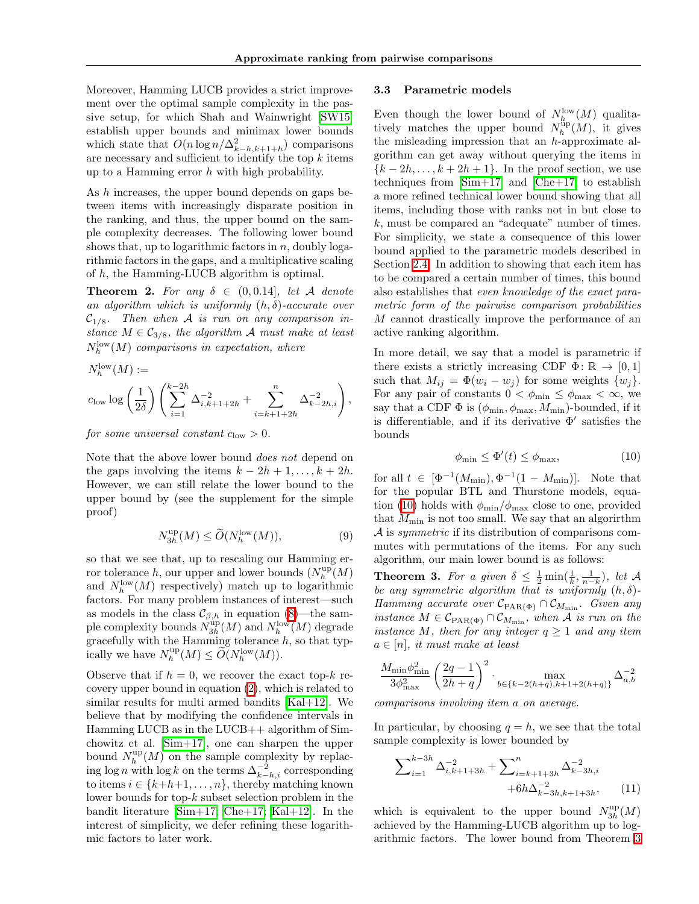Moreover, Hamming LUCB provides a strict improvement over the optimal sample complexity in the passive setup, for which Shah and Wainwright [\[SW15\]](#page-8-9) establish upper bounds and minimax lower bounds which state that  $O(n \log n / \Delta_{k-h,k+1+h}^2)$  comparisons are necessary and sufficient to identify the top  $k$  items up to a Hamming error *h* with high probability.

As *h* increases, the upper bound depends on gaps between items with increasingly disparate position in the ranking, and thus, the upper bound on the sample complexity decreases. The following lower bound shows that, up to logarithmic factors in *n*, doubly logarithmic factors in the gaps, and a multiplicative scaling of *h*, the Hamming-LUCB algorithm is optimal.

<span id="page-5-3"></span>**Theorem 2.** For any  $\delta \in (0, 0.14]$ , let A denote *an algorithm which is uniformly*  $(h, \delta)$ *-accurate over*  $C_{1/8}$ . Then when A is run on any comparison in*stance*  $M \in \mathcal{C}_{3/8}$ *, the algorithm A must make at least*  $N_h^{\text{low}}(M)$  *comparisons in expectation, where* 

$$
N_h^{\text{low}}(M) :=
$$
  

$$
c_{\text{low}} \log \left(\frac{1}{2\delta}\right) \left( \sum_{i=1}^{k-2h} \Delta_{i,k+1+2h}^{-2} + \sum_{i=k+1+2h}^n \Delta_{k-2h,i}^{-2} \right),
$$

*for some universal constant*  $c_{\text{low}} > 0$ *.* 

Note that the above lower bound *does not* depend on the gaps involving the items  $k - 2h + 1, \ldots, k + 2h$ . However, we can still relate the lower bound to the upper bound by (see the supplement for the simple proof)

$$
N_{3h}^{\text{up}}(M) \le \widetilde{O}(N_h^{\text{low}}(M)),\tag{9}
$$

so that we see that, up to rescaling our Hamming error tolerance *h*, our upper and lower bounds  $(N_h^{\text{up}}(M))$ and  $N_h^{\text{low}}(M)$  respectively) match up to logarithmic factors. For many problem instances of interest—such as models in the class  $\mathcal{C}_{\beta,h}$  in equation [\(8\)](#page-4-4)—the sample complexity bounds  $N_{3h}^{\text{up}}(M)$  and  $N_h^{\text{low}}(M)$  degrade gracefully with the Hamming tolerance *h*, so that typically we have  $N_h^{\text{up}}(M) \le \widetilde{O}(N_h^{\text{low}}(M)).$ 

Observe that if  $h = 0$ , we recover the exact top- $k$  recovery upper bound in equation  $(2)$ , which is related to similar results for multi armed bandits  $[Kal+12]$ . We believe that by modifying the confidence intervals in Hamming LUCB as in the LUCB++ algorithm of Simchowitz et al.  $\text{Sim+17}$ , one can sharpen the upper bound  $N_h^{\text{up}}(M)$  on the sample complexity by replacing  $\log n$  with  $\log k$  on the terms  $\Delta_{k-h,i}^{-2}$  corresponding to items  $i \in \{k+h+1,\ldots,n\}$ , thereby matching known lower bounds for top-*k* subset selection problem in the bandit literature  $\boxed{\text{Sim+17}}$  [Che+17;](#page-8-21)  $\boxed{\text{Kal+12}}$ . In the interest of simplicity, we defer refining these logarithmic factors to later work.

#### <span id="page-5-0"></span>3.3 Parametric models

Even though the lower bound of  $N_h^{\text{low}}(M)$  qualitatively matches the upper bound  $N_h^{\text{up}}(M)$ , it gives the misleading impression that an *h*-approximate algorithm can get away without querying the items in  ${k-2h, \ldots, k+2h+1}$ . In the proof section, we use techniques from  $\boxed{\text{Sim}+17}$  and  $\boxed{\text{Che}+17}$  to establish a more refined technical lower bound showing that all items, including those with ranks not in but close to *k*, must be compared an "adequate" number of times. For simplicity, we state a consequence of this lower bound applied to the parametric models described in Section [2.4.](#page-3-1) In addition to showing that each item has to be compared a certain number of times, this bound also establishes that *even knowledge of the exact parametric form of the pairwise comparison probabilities M* cannot drastically improve the performance of an active ranking algorithm.

In more detail, we say that a model is parametric if there exists a strictly increasing CDF  $\Phi$ :  $\mathbb{R} \to [0, 1]$ such that  $M_{ij} = \Phi(w_i - w_j)$  for some weights  $\{w_j\}$ . For any pair of constants  $0 < \phi_{\min} \leq \phi_{\max} < \infty$ , we say that a CDF  $\Phi$  is  $(\phi_{\min}, \phi_{\max}, M_{\min})$ -bounded, if it is differentiable, and if its derivative  $\Phi'$  satisfies the bounds

<span id="page-5-1"></span>
$$
\phi_{\min} \le \Phi'(t) \le \phi_{\max},\tag{10}
$$

for all  $t \in [\Phi^{-1}(M_{\min}), \Phi^{-1}(1 - M_{\min})]$ . Note that for the popular BTL and Thurstone models, equa-tion [\(10\)](#page-5-1) holds with  $\phi_{\rm min}/\phi_{\rm max}$  close to one, provided that  $M_{\text{min}}$  is not too small. We say that an algorirthm *A* is *symmetric* if its distribution of comparisons commutes with permutations of the items. For any such algorithm, our main lower bound is as follows:

<span id="page-5-2"></span>**Theorem 3.** For a given  $\delta \leq \frac{1}{2} \min(\frac{1}{k}, \frac{1}{n-k})$ , let  $\mathcal{A}$ *be any symmetric algorithm that is uniformly*  $(h, \delta)$ -*Hamming accurate over*  $C_{\text{PAR}(\Phi)} \cap C_{M_{\text{min}}}$ *. Given any instance*  $M \in \mathcal{C}_{\text{PAR}(\Phi)} \cap \mathcal{C}_{M_{\text{min}}}$ *, when A is run on the instance M, then for any integer*  $q \geq 1$  *and any item*  $a \in [n]$ , *it must make at least* 

$$
\frac{M_{\min}\phi_{\min}^2}{3\phi_{\max}^2} \left(\frac{2q-1}{2h+q}\right)^2 \cdot \max_{b \in \{k-2(h+q), k+1+2(h+q)\}} \Delta_{a,b}^{-2}
$$

*comparisons involving item a on average.*

In particular, by choosing  $q = h$ , we see that the total sample complexity is lower bounded by

$$
\sum_{i=1}^{k-3h} \Delta_{i,k+1+3h}^{-2} + \sum_{i=k+1+3h}^{n} \Delta_{k-3h,i}^{-2} + 6h\Delta_{k-3h,k+1+3h}^{-2}, \quad (11)
$$

which is equivalent to the upper bound  $N_{3h}^{\text{up}}(M)$ achieved by the Hamming-LUCB algorithm up to logarithmic factors. The lower bound from Theorem [3](#page-5-2)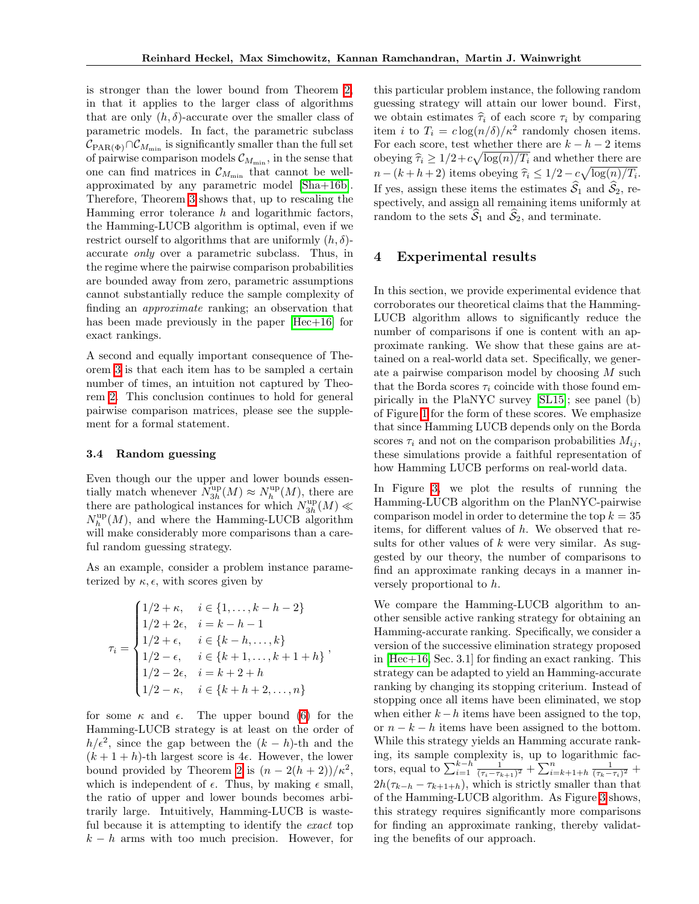is stronger than the lower bound from Theorem  $2$ , in that it applies to the larger class of algorithms that are only  $(h, \delta)$ -accurate over the smaller class of parametric models. In fact, the parametric subclass  $\mathcal{C}_{\text{PAR}(\Phi)} \cap \mathcal{C}_{M_{\text{min}}}$  is significantly smaller than the full set of pairwise comparison models  $\mathcal{C}_{M_{\text{min}}}$ , in the sense that one can find matrices in  $\mathcal{C}_{M_{\min}}$  that cannot be wellapproximated by any parametric model [\[Sha+16b\]](#page-8-22). Therefore, Theorem  $3$  shows that, up to rescaling the Hamming error tolerance *h* and logarithmic factors, the Hamming-LUCB algorithm is optimal, even if we restrict ourself to algorithms that are uniformly  $(h, \delta)$ accurate *only* over a parametric subclass. Thus, in the regime where the pairwise comparison probabilities are bounded away from zero, parametric assumptions cannot substantially reduce the sample complexity of finding an *approximate* ranking; an observation that has been made previously in the paper  $[Hec+16]$  for exact rankings.

A second and equally important consequence of Theorem  $\overline{3}$  is that each item has to be sampled a certain number of times, an intuition not captured by Theorem  $\overline{2}$ . This conclusion continues to hold for general pairwise comparison matrices, please see the supplement for a formal statement.

#### 3.4 Random guessing

Even though our the upper and lower bounds essentially match whenever  $N_{3h}^{\text{up}}(M) \approx N_h^{\text{up}}(M)$ , there are there are pathological instances for which  $N_{3h}^{\text{up}}(M) \ll$  $N_h^{\text{up}}(M)$ , and where the Hamming-LUCB algorithm will make considerably more comparisons than a careful random guessing strategy.

As an example, consider a problem instance parameterized by  $\kappa, \epsilon$ , with scores given by

$$
\tau_i = \begin{cases}\n1/2 + \kappa, & i \in \{1, ..., k - h - 2\} \\
1/2 + 2\epsilon, & i = k - h - 1 \\
1/2 + \epsilon, & i \in \{k - h, ..., k\} \\
1/2 - \epsilon, & i \in \{k + 1, ..., k + 1 + h\} \\
1/2 - 2\epsilon, & i = k + 2 + h \\
1/2 - \kappa, & i \in \{k + h + 2, ..., n\}\n\end{cases}
$$

for some  $\kappa$  and  $\epsilon$ . The upper bound [\(6\)](#page-4-5) for the Hamming-LUCB strategy is at least on the order of  $h/\epsilon^2$ , since the gap between the  $(k-h)$ -th and the  $(k + 1 + h)$ -th largest score is 4 $\epsilon$ . However, the lower bound provided by Theorem  $\overline{2}$  is  $(n - 2(h + 2))/\kappa^2$  $(n - 2(h + 2))/\kappa^2$  $(n - 2(h + 2))/\kappa^2$ , which is independent of  $\epsilon$ . Thus, by making  $\epsilon$  small, the ratio of upper and lower bounds becomes arbitrarily large. Intuitively, Hamming-LUCB is wasteful because it is attempting to identify the *exact* top  $k - h$  arms with too much precision. However, for

this particular problem instance, the following random guessing strategy will attain our lower bound. First, we obtain estimates  $\hat{\tau}_i$  of each score  $\tau_i$  by comparing item *i* to  $T_i = c \log(n/\delta)/\kappa^2$  randomly chosen items. For each score, test whether there are  $k - h - 2$  items obeying  $\hat{\tau}_i \geq 1/2 + c\sqrt{\log(n)/T_i}$  and whether there are  $n - (k + h + 2)$  items obeying  $\hat{\tau}_i \leq 1/2 - c\sqrt{\log(n)/T_i}$ . If yes, assign these items the estimates  $\widehat{S}_1$  and  $\widehat{S}_2$ , respectively, and assign all remaining items uniformly at random to the sets  $\hat{S}_1$  and  $\hat{S}_2$ , and terminate.

## 4 Experimental results

In this section, we provide experimental evidence that corroborates our theoretical claims that the Hamming-LUCB algorithm allows to significantly reduce the number of comparisons if one is content with an approximate ranking. We show that these gains are attained on a real-world data set. Specifically, we generate a pairwise comparison model by choosing *M* such that the Borda scores  $\tau_i$  coincide with those found empirically in the PlaNYC survey [\[SL15\]](#page-8-3); see panel (b) of Figure  $\overline{1}$  for the form of these scores. We emphasize that since Hamming LUCB depends only on the Borda scores  $\tau_i$  and not on the comparison probabilities  $M_{ij}$ , these simulations provide a faithful representation of how Hamming LUCB performs on real-world data.

In Figure  $\overline{3}$ , we plot the results of running the Hamming-LUCB algorithm on the PlanNYC-pairwise comparison model in order to determine the top *k* = 35 items, for different values of h. We observed that results for other values of *k* were very similar. As suggested by our theory, the number of comparisons to find an approximate ranking decays in a manner inversely proportional to *h*.

We compare the Hamming-LUCB algorithm to another sensible active ranking strategy for obtaining an Hamming-accurate ranking. Specifically, we consider a version of the successive elimination strategy proposed in  $[Hec+16]$ , Sec. 3.1 for finding an exact ranking. This strategy can be adapted to yield an Hamming-accurate ranking by changing its stopping criterium. Instead of stopping once all items have been eliminated, we stop when either  $k - h$  items have been assigned to the top, or  $n - k - h$  items have been assigned to the bottom. While this strategy yields an Hamming accurate ranking, its sample complexity is, up to logarithmic factors, equal to  $\sum_{i=1}^{k-h} \frac{1}{(\tau_i - \tau_{k+1})^2} + \sum_{i=k+1+h}^{n} \frac{1}{(\tau_k - \tau_i)^2} + \cdots$  $2h(\tau_{k-h} - \tau_{k+1+h})$ , which is strictly smaller than that of the Hamming-LUCB algorithm. As Figure [3](#page-7-5) shows, this strategy requires significantly more comparisons for finding an approximate ranking, thereby validating the benefits of our approach.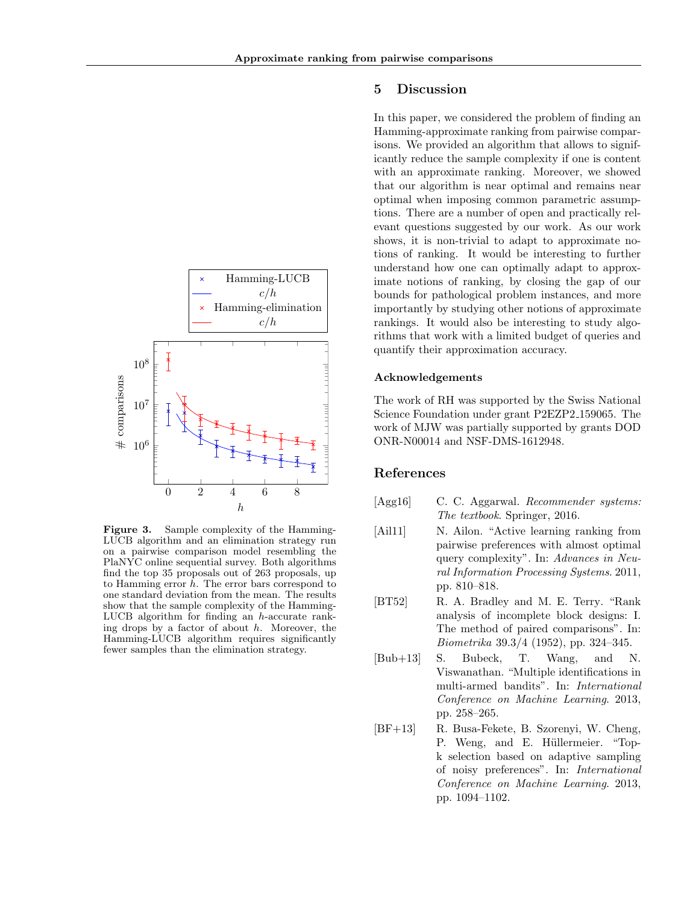

<span id="page-7-5"></span>Figure 3. Sample complexity of the Hamming-LUCB algorithm and an elimination strategy run on a pairwise comparison model resembling the PlaNYC online sequential survey. Both algorithms find the top 35 proposals out of 263 proposals, up to Hamming error *h*. The error bars correspond to one standard deviation from the mean. The results show that the sample complexity of the Hamming-LUCB algorithm for finding an *h*-accurate ranking drops by a factor of about *h*. Moreover, the Hamming-LUCB algorithm requires significantly fewer samples than the elimination strategy.

## 5 Discussion

In this paper, we considered the problem of finding an Hamming-approximate ranking from pairwise comparisons. We provided an algorithm that allows to significantly reduce the sample complexity if one is content with an approximate ranking. Moreover, we showed that our algorithm is near optimal and remains near optimal when imposing common parametric assumptions. There are a number of open and practically relevant questions suggested by our work. As our work shows, it is non-trivial to adapt to approximate notions of ranking. It would be interesting to further understand how one can optimally adapt to approximate notions of ranking, by closing the gap of our bounds for pathological problem instances, and more importantly by studying other notions of approximate rankings. It would also be interesting to study algorithms that work with a limited budget of queries and quantify their approximation accuracy.

## Acknowledgements

The work of RH was supported by the Swiss National Science Foundation under grant P2EZP2 159065. The work of MJW was partially supported by grants DOD ONR-N00014 and NSF-DMS-1612948.

## References

- <span id="page-7-0"></span>[Agg16] C. C. Aggarwal. *Recommender systems: The textbook*. Springer, 2016.
- <span id="page-7-4"></span>[Ail11] N. Ailon. "Active learning ranking from pairwise preferences with almost optimal query complexity". In: *Advances in Neural Information Processing Systems*. 2011, pp. 810–818.
- <span id="page-7-1"></span>[BT52] R. A. Bradley and M. E. Terry. "Rank analysis of incomplete block designs: I. The method of paired comparisons". In: *Biometrika* 39.3/4 (1952), pp. 324–345.
- <span id="page-7-2"></span>[Bub+13] S. Bubeck, T. Wang, and N. Viswanathan. "Multiple identifications in multi-armed bandits". In: *International Conference on Machine Learning*. 2013, pp. 258–265.
- <span id="page-7-3"></span>[BF+13] R. Busa-Fekete, B. Szorenyi, W. Cheng, P. Weng, and E. Hüllermeier. "Topk selection based on adaptive sampling of noisy preferences". In: *International Conference on Machine Learning*. 2013, pp. 1094–1102.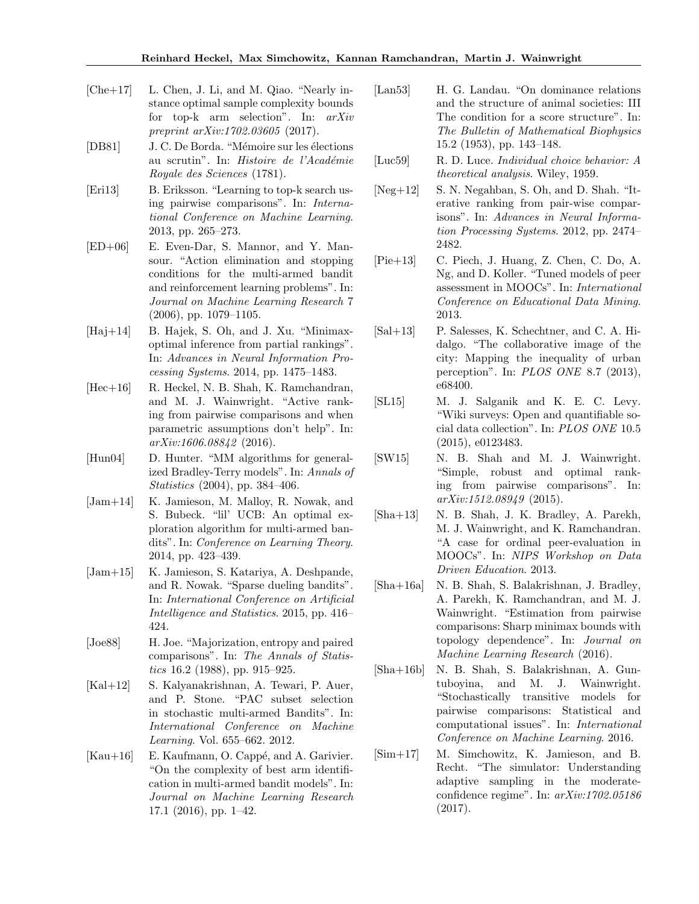- <span id="page-8-21"></span>[Che+17] L. Chen, J. Li, and M. Qiao. "Nearly instance optimal sample complexity bounds for top-k arm selection". In: *arXiv preprint arXiv:1702.03605* (2017).
- <span id="page-8-5"></span>[DB81] J. C. De Borda. "Mémoire sur les élections au scrutin". In: *Histoire de l'Académie Royale des Sciences* (1781).
- <span id="page-8-14"></span>[Eri13] B. Eriksson. "Learning to top-k search using pairwise comparisons". In: *International Conference on Machine Learning*. 2013, pp. 265–273.
- <span id="page-8-7"></span>[ED+06] E. Even-Dar, S. Mannor, and Y. Mansour. "Action elimination and stopping conditions for the multi-armed bandit and reinforcement learning problems". In: *Journal on Machine Learning Research* 7 (2006), pp. 1079–1105.
- <span id="page-8-12"></span>[Haj+14] B. Hajek, S. Oh, and J. Xu. "Minimaxoptimal inference from partial rankings". In: *Advances in Neural Information Processing Systems*. 2014, pp. 1475–1483.
- <span id="page-8-4"></span>[Hec+16] R. Heckel, N. B. Shah, K. Ramchandran, and M. J. Wainwright. "Active ranking from pairwise comparisons and when parametric assumptions don't help". In: *arXiv:1606.08842* (2016).
- <span id="page-8-10"></span>[Hun04] D. Hunter. "MM algorithms for generalized Bradley-Terry models". In: *Annals of Statistics* (2004), pp. 384–406.
- <span id="page-8-20"></span>[Jam+14] K. Jamieson, M. Malloy, R. Nowak, and S. Bubeck. "lil' UCB: An optimal exploration algorithm for multi-armed bandits". In: *Conference on Learning Theory*. 2014, pp. 423–439.
- <span id="page-8-8"></span>[Jam+15] K. Jamieson, S. Katariya, A. Deshpande, and R. Nowak. "Sparse dueling bandits". In: *International Conference on Artificial Intelligence and Statistics*. 2015, pp. 416– 424.
- <span id="page-8-17"></span>[Joe88] H. Joe. "Majorization, entropy and paired comparisons". In: *The Annals of Statistics* 16.2 (1988), pp. 915–925.
- <span id="page-8-15"></span>[Kal+12] S. Kalyanakrishnan, A. Tewari, P. Auer, and P. Stone. "PAC subset selection in stochastic multi-armed Bandits". In: *International Conference on Machine Learning*. Vol. 655–662. 2012.
- <span id="page-8-19"></span> $[Kau+16]$  E. Kaufmann, O. Cappé, and A. Garivier. "On the complexity of best arm identification in multi-armed bandit models". In: *Journal on Machine Learning Research* 17.1 (2016), pp. 1–42.
- <span id="page-8-16"></span>[Lan53] H. G. Landau. "On dominance relations and the structure of animal societies: III The condition for a score structure". In: *The Bulletin of Mathematical Biophysics* 15.2 (1953), pp. 143–148.
- <span id="page-8-6"></span>[Luc59] R. D. Luce. *Individual choice behavior: A theoretical analysis*. Wiley, 1959.
- <span id="page-8-11"></span>[Neg+12] S. N. Negahban, S. Oh, and D. Shah. "Iterative ranking from pair-wise comparisons". In: *Advances in Neural Information Processing Systems*. 2012, pp. 2474– 2482.
- <span id="page-8-0"></span>[Pie+13] C. Piech, J. Huang, Z. Chen, C. Do, A. Ng, and D. Koller. "Tuned models of peer assessment in MOOCs". In: *International Conference on Educational Data Mining*. 2013.
- <span id="page-8-2"></span>[Sal+13] P. Salesses, K. Schechtner, and C. A. Hidalgo. "The collaborative image of the city: Mapping the inequality of urban perception". In: *PLOS ONE* 8.7 (2013), e68400.
- <span id="page-8-3"></span>[SL15] M. J. Salganik and K. E. C. Levy. "Wiki surveys: Open and quantifiable social data collection". In: *PLOS ONE* 10.5 (2015), e0123483.
- <span id="page-8-9"></span>[SW15] N. B. Shah and M. J. Wainwright. "Simple, robust and optimal ranking from pairwise comparisons". In: *arXiv:1512.08949* (2015).
- <span id="page-8-1"></span>[Sha+13] N. B. Shah, J. K. Bradley, A. Parekh, M. J. Wainwright, and K. Ramchandran. "A case for ordinal peer-evaluation in MOOCs". In: *NIPS Workshop on Data Driven Education*. 2013.
- <span id="page-8-13"></span>[Sha+16a] N. B. Shah, S. Balakrishnan, J. Bradley, A. Parekh, K. Ramchandran, and M. J. Wainwright. "Estimation from pairwise comparisons: Sharp minimax bounds with topology dependence". In: *Journal on Machine Learning Research* (2016).
- <span id="page-8-22"></span>[Sha+16b] N. B. Shah, S. Balakrishnan, A. Guntuboyina, and M. J. Wainwright. "Stochastically transitive models for pairwise comparisons: Statistical and computational issues". In: *International Conference on Machine Learning*. 2016.
- <span id="page-8-18"></span>[Sim+17] M. Simchowitz, K. Jamieson, and B. Recht. "The simulator: Understanding adaptive sampling in the moderateconfidence regime". In: *arXiv:1702.05186* (2017).